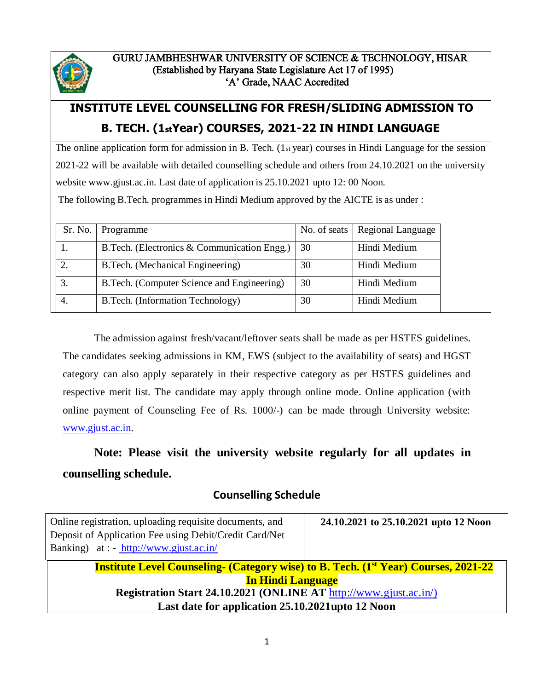

# **INSTITUTE LEVEL COUNSELLING FOR FRESH/SLIDING ADMISSION TO B. TECH. (1stYear) COURSES, 2021-22 IN HINDI LANGUAGE**

The online application form for admission in B. Tech. (1st year) courses in Hindi Language for the session 2021-22 will be available with detailed counselling schedule and others from 24.10.2021 on the university website www.gjust.ac.in. Last date of application is 25.10.2021 upto 12: 00 Noon.

The following B.Tech. programmes in Hindi Medium approved by the AICTE is as under :

| Sr. No. | Programme                                    |    | No. of seats   Regional Language |
|---------|----------------------------------------------|----|----------------------------------|
|         | B. Tech. (Electronics & Communication Engg.) | 30 | Hindi Medium                     |
|         | B.Tech. (Mechanical Engineering)             | 30 | Hindi Medium                     |
|         | B. Tech. (Computer Science and Engineering)  | 30 | Hindi Medium                     |
| 4.      | B.Tech. (Information Technology)             | 30 | Hindi Medium                     |

The admission against fresh/vacant/leftover seats shall be made as per HSTES guidelines. The candidates seeking admissions in KM, EWS (subject to the availability of seats) and HGST category can also apply separately in their respective category as per HSTES guidelines and respective merit list. The candidate may apply through online mode. Online application (with online payment of Counseling Fee of Rs. 1000/-) can be made through University website: [www.gjust.ac.in.](http://www.gjust.ac.in/)

# **Note: Please visit the university website regularly for all updates in counselling schedule.**

### **Counselling Schedule**

| Online registration, uploading requisite documents, and<br>Deposit of Application Fee using Debit/Credit Card/Net<br>Banking) at : - http://www.gjust.ac.in/ | 24.10.2021 to 25.10.2021 upto 12 Noon |  |
|--------------------------------------------------------------------------------------------------------------------------------------------------------------|---------------------------------------|--|
| <b>Institute Level Counseling- (Category wise) to B. Tech. (1st Year) Courses, 2021-22</b>                                                                   |                                       |  |
| <b>In Hindi Language</b>                                                                                                                                     |                                       |  |
| Registration Start 24.10.2021 (ONLINE AT http://www.gjust.ac.in/)                                                                                            |                                       |  |
| Last date for application 25.10.2021upto 12 Noon                                                                                                             |                                       |  |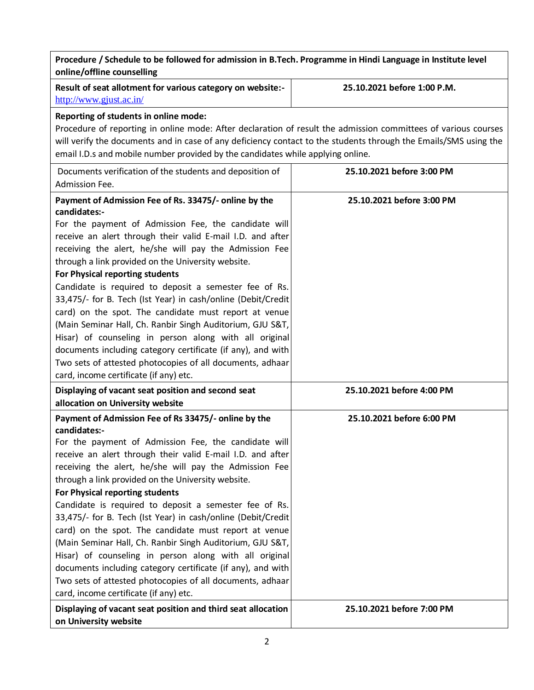| Procedure / Schedule to be followed for admission in B.Tech. Programme in Hindi Language in Institute level<br>online/offline counselling                                                                                                                                                                                                                                                                                                                                                                                                                                                                                                                                                                                                                                                                                      |                             |  |  |  |
|--------------------------------------------------------------------------------------------------------------------------------------------------------------------------------------------------------------------------------------------------------------------------------------------------------------------------------------------------------------------------------------------------------------------------------------------------------------------------------------------------------------------------------------------------------------------------------------------------------------------------------------------------------------------------------------------------------------------------------------------------------------------------------------------------------------------------------|-----------------------------|--|--|--|
| Result of seat allotment for various category on website:-<br>http://www.gjust.ac.in/                                                                                                                                                                                                                                                                                                                                                                                                                                                                                                                                                                                                                                                                                                                                          | 25.10.2021 before 1:00 P.M. |  |  |  |
| Reporting of students in online mode:<br>Procedure of reporting in online mode: After declaration of result the admission committees of various courses<br>will verify the documents and in case of any deficiency contact to the students through the Emails/SMS using the<br>email I.D.s and mobile number provided by the candidates while applying online.                                                                                                                                                                                                                                                                                                                                                                                                                                                                 |                             |  |  |  |
| Documents verification of the students and deposition of<br>Admission Fee.                                                                                                                                                                                                                                                                                                                                                                                                                                                                                                                                                                                                                                                                                                                                                     | 25.10.2021 before 3:00 PM   |  |  |  |
| Payment of Admission Fee of Rs. 33475/- online by the<br>candidates:-<br>For the payment of Admission Fee, the candidate will<br>receive an alert through their valid E-mail I.D. and after<br>receiving the alert, he/she will pay the Admission Fee<br>through a link provided on the University website.<br>For Physical reporting students<br>Candidate is required to deposit a semester fee of Rs.<br>33,475/- for B. Tech (Ist Year) in cash/online (Debit/Credit<br>card) on the spot. The candidate must report at venue<br>(Main Seminar Hall, Ch. Ranbir Singh Auditorium, GJU S&T,<br>Hisar) of counseling in person along with all original<br>documents including category certificate (if any), and with<br>Two sets of attested photocopies of all documents, adhaar<br>card, income certificate (if any) etc. | 25.10.2021 before 3:00 PM   |  |  |  |
| Displaying of vacant seat position and second seat<br>allocation on University website                                                                                                                                                                                                                                                                                                                                                                                                                                                                                                                                                                                                                                                                                                                                         | 25.10.2021 before 4:00 PM   |  |  |  |
| Payment of Admission Fee of Rs 33475/- online by the<br>candidates:-<br>For the payment of Admission Fee, the candidate will<br>receive an alert through their valid E-mail I.D. and after<br>receiving the alert, he/she will pay the Admission Fee<br>through a link provided on the University website.<br>For Physical reporting students<br>Candidate is required to deposit a semester fee of Rs.<br>33,475/- for B. Tech (Ist Year) in cash/online (Debit/Credit<br>card) on the spot. The candidate must report at venue<br>(Main Seminar Hall, Ch. Ranbir Singh Auditorium, GJU S&T,<br>Hisar) of counseling in person along with all original<br>documents including category certificate (if any), and with<br>Two sets of attested photocopies of all documents, adhaar<br>card, income certificate (if any) etc.  | 25.10.2021 before 6:00 PM   |  |  |  |
| Displaying of vacant seat position and third seat allocation<br>on University website                                                                                                                                                                                                                                                                                                                                                                                                                                                                                                                                                                                                                                                                                                                                          | 25.10.2021 before 7:00 PM   |  |  |  |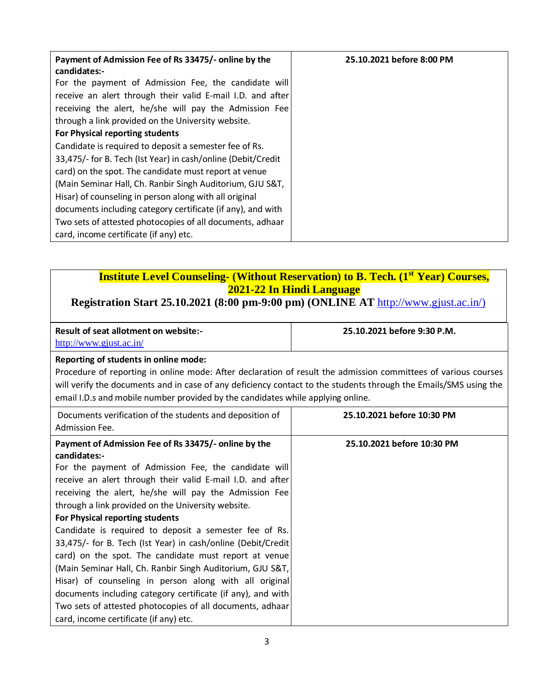| Payment of Admission Fee of Rs 33475/- online by the<br>candidates:- | 25.10.2021 before 8:00 PM |
|----------------------------------------------------------------------|---------------------------|
| For the payment of Admission Fee, the candidate will                 |                           |
| receive an alert through their valid E-mail I.D. and after           |                           |
| receiving the alert, he/she will pay the Admission Fee               |                           |
| through a link provided on the University website.                   |                           |
| For Physical reporting students                                      |                           |
| Candidate is required to deposit a semester fee of Rs.               |                           |
| 33,475/- for B. Tech (Ist Year) in cash/online (Debit/Credit         |                           |
| card) on the spot. The candidate must report at venue                |                           |
| (Main Seminar Hall, Ch. Ranbir Singh Auditorium, GJU S&T,            |                           |
| Hisar) of counseling in person along with all original               |                           |
| documents including category certificate (if any), and with          |                           |
| Two sets of attested photocopies of all documents, adhaar            |                           |
| card, income certificate (if any) etc.                               |                           |

### **Institute Level Counseling- (Without Reservation) to B. Tech. (1st Year) Courses, 2021-22 In Hindi Language**

#### **Registration Start 25.10.2021 (8:00 pm-9:00 pm) (ONLINE AT** [http://www.gjust.ac.in/\)](http://www.gjust.ac.in/)

| Result of seat allotment on website:- | 25.10.2021 before 9:30 P.M. |  |
|---------------------------------------|-----------------------------|--|
| http://www.gjust.ac.in/               |                             |  |

#### **Reporting of students in online mode:**

Procedure of reporting in online mode: After declaration of result the admission committees of various courses will verify the documents and in case of any deficiency contact to the students through the Emails/SMS using the email I.D.s and mobile number provided by the candidates while applying online.

| Documents verification of the students and deposition of<br>Admission Fee.                                                                                                                                                                                                                                                                                                                                                                                                                                                                                                                                                                                                                                                                                                                                                     | 25.10.2021 before 10:30 PM |
|--------------------------------------------------------------------------------------------------------------------------------------------------------------------------------------------------------------------------------------------------------------------------------------------------------------------------------------------------------------------------------------------------------------------------------------------------------------------------------------------------------------------------------------------------------------------------------------------------------------------------------------------------------------------------------------------------------------------------------------------------------------------------------------------------------------------------------|----------------------------|
| Payment of Admission Fee of Rs 33475/- online by the<br>candidates:-<br>For the payment of Admission Fee, the candidate will<br>receive an alert through their valid E-mail I.D. and after<br>receiving the alert, he/she will pay the Admission Fee<br>through a link provided on the University website.<br>For Physical reporting students<br>Candidate is required to deposit a semester fee of Rs.<br>33,475/- for B. Tech (Ist Year) in cash/online (Debit/Credit)<br>card) on the spot. The candidate must report at venue<br>(Main Seminar Hall, Ch. Ranbir Singh Auditorium, GJU S&T,<br>Hisar) of counseling in person along with all original<br>documents including category certificate (if any), and with<br>Two sets of attested photocopies of all documents, adhaar<br>card, income certificate (if any) etc. | 25.10.2021 before 10:30 PM |